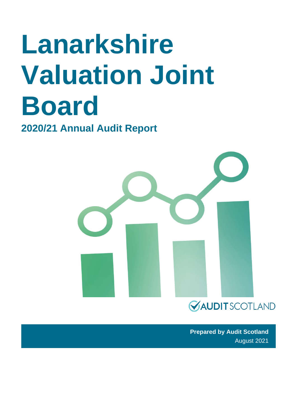# **Lanarkshire Valuation Joint Board**

**2020/21 Annual Audit Report** 



**Prepared by Audit Scotland** August 2021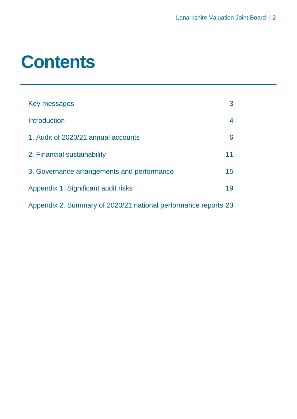### **Contents**

| Key messages                                                   | 3               |
|----------------------------------------------------------------|-----------------|
| <b>Introduction</b>                                            | 4               |
| 1. Audit of 2020/21 annual accounts                            | 6               |
| 2. Financial sustainability                                    | 11              |
| 3. Governance arrangements and performance                     | 15 <sup>1</sup> |
| Appendix 1. Significant audit risks                            | 19              |
| Appendix 2. Summary of 2020/21 national performance reports 23 |                 |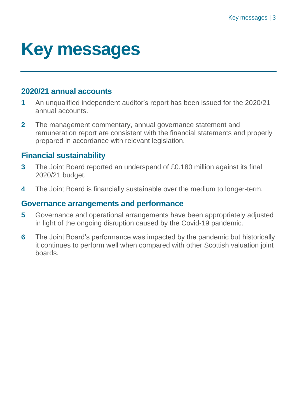### <span id="page-2-0"></span>**Key messages**

#### **2020/21 annual accounts**

- **1** An unqualified independent auditor's report has been issued for the 2020/21 annual accounts.
- **2** The management commentary, annual governance statement and remuneration report are consistent with the financial statements and properly prepared in accordance with relevant legislation.

#### **Financial sustainability**

- **3** The Joint Board reported an underspend of £0.180 million against its final 2020/21 budget.
- **4** The Joint Board is financially sustainable over the medium to longer-term.

#### **Governance arrangements and performance**

- **5** Governance and operational arrangements have been appropriately adjusted in light of the ongoing disruption caused by the Covid-19 pandemic.
- **6** The Joint Board's performance was impacted by the pandemic but historically it continues to perform well when compared with other Scottish valuation joint boards.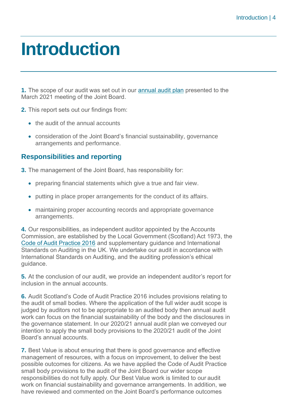### <span id="page-3-0"></span>**Introduction**

**1.** The scope of our audit was set out in our [annual audit plan](https://www.audit-scotland.gov.uk/uploads/docs/report/2021/aap_2021_lanarkshire_vjb.pdf) presented to the March 2021 meeting of the Joint Board.

- **2.** This report sets out our findings from:
	- the audit of the annual accounts
	- consideration of the Joint Board's financial sustainability, governance arrangements and performance.

#### **Responsibilities and reporting**

**3.** The management of the Joint Board, has responsibility for:

- preparing financial statements which give a true and fair view.
- putting in place proper arrangements for the conduct of its affairs.
- maintaining proper accounting records and appropriate governance arrangements.

**4.** Our responsibilities, as independent auditor appointed by the Accounts Commission, are established by the Local Government (Scotland) Act 1973, the [Code of Audit Practice 2016](https://www.audit-scotland.gov.uk/report/code-of-audit-practice-2016) and supplementary guidance and International Standards on Auditing in the UK. We undertake our audit in accordance with International Standards on Auditing, and the auditing profession's ethical guidance.

**5.** At the conclusion of our audit, we provide an independent auditor's report for inclusion in the annual accounts.

**6.** Audit Scotland's Code of Audit Practice 2016 includes provisions relating to the audit of small bodies. Where the application of the full wider audit scope is judged by auditors not to be appropriate to an audited body then annual audit work can focus on the financial sustainability of the body and the disclosures in the governance statement. In our 2020/21 annual audit plan we conveyed our intention to apply the small body provisions to the 2020/21 audit of the Joint Board's annual accounts.

**7.** Best Value is about ensuring that there is good governance and effective management of resources, with a focus on improvement, to deliver the best possible outcomes for citizens. As we have applied the Code of Audit Practice small body provisions to the audit of the Joint Board our wider scope responsibilities do not fully apply. Our Best Value work is limited to our audit work on financial sustainability and governance arrangements. In addition, we have reviewed and commented on the Joint Board's performance outcomes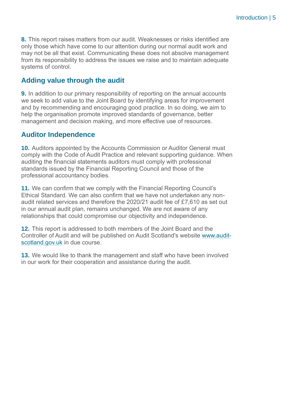**8.** This report raises matters from our audit. Weaknesses or risks identified are only those which have come to our attention during our normal audit work and may not be all that exist. Communicating these does not absolve management from its responsibility to address the issues we raise and to maintain adequate systems of control.

#### **Adding value through the audit**

**9.** In addition to our primary responsibility of reporting on the annual accounts we seek to add value to the Joint Board by identifying areas for improvement and by recommending and encouraging good practice. In so doing, we aim to help the organisation promote improved standards of governance, better management and decision making, and more effective use of resources.

#### **Auditor Independence**

**10.** Auditors appointed by the Accounts Commission or Auditor General must comply with the Code of Audit Practice and relevant supporting guidance. When auditing the financial statements auditors must comply with professional standards issued by the Financial Reporting Council and those of the professional accountancy bodies.

**11.** We can confirm that we comply with the Financial Reporting Council's Ethical Standard. We can also confirm that we have not undertaken any nonaudit related services and therefore the 2020/21 audit fee of £7,610 as set out in our annual audit plan, remains unchanged. We are not aware of any relationships that could compromise our objectivity and independence.

**12.** This report is addressed to both members of the Joint Board and the Controller of Audit and will be published on Audit Scotland's website [www.audit](http://www.audit-scotland.gov.uk/)[scotland.gov.uk](http://www.audit-scotland.gov.uk/) in due course.

**13.** We would like to thank the management and staff who have been involved in our work for their cooperation and assistance during the audit.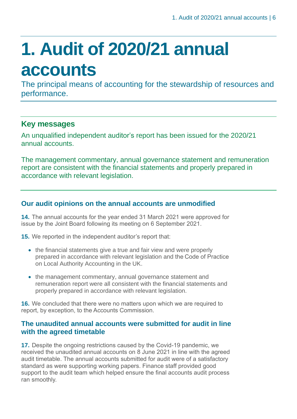## <span id="page-5-0"></span>**1. Audit of 2020/21 annual accounts**

The principal means of accounting for the stewardship of resources and performance.

#### **Key messages**

An unqualified independent auditor's report has been issued for the 2020/21 annual accounts.

The management commentary, annual governance statement and remuneration report are consistent with the financial statements and properly prepared in accordance with relevant legislation.

#### **Our audit opinions on the annual accounts are unmodified**

**14.** The annual accounts for the year ended 31 March 2021 were approved for issue by the Joint Board following its meeting on 6 September 2021.

**15.** We reported in the independent auditor's report that:

- the financial statements give a true and fair view and were properly prepared in accordance with relevant legislation and the Code of Practice on Local Authority Accounting in the UK.
- the management commentary, annual governance statement and remuneration report were all consistent with the financial statements and properly prepared in accordance with relevant legislation.

**16.** We concluded that there were no matters upon which we are required to report, by exception, to the Accounts Commission.

#### **The unaudited annual accounts were submitted for audit in line with the agreed timetable**

**17.** Despite the ongoing restrictions caused by the Covid-19 pandemic, we received the unaudited annual accounts on 8 June 2021 in line with the agreed audit timetable. The annual accounts submitted for audit were of a satisfactory standard as were supporting working papers. Finance staff provided good support to the audit team which helped ensure the final accounts audit process ran smoothly.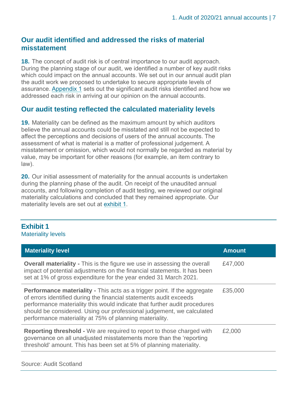#### **Our audit identified and addressed the risks of material misstatement**

**18.** The concept of audit risk is of central importance to our audit approach. During the planning stage of our audit, we identified a number of key audit risks which could impact on the annual accounts. We set out in our annual audit plan the audit work we proposed to undertake to secure appropriate levels of assurance. [Appendix 1](#page-18-0) sets out the significant audit risks identified and how we addressed each risk in arriving at our opinion on the annual accounts.

#### **Our audit testing reflected the calculated materiality levels**

**19.** Materiality can be defined as the maximum amount by which auditors believe the annual accounts could be misstated and still not be expected to affect the perceptions and decisions of users of the annual accounts. The assessment of what is material is a matter of professional judgement. A misstatement or omission, which would not normally be regarded as material by value, may be important for other reasons (for example, an item contrary to law).

**20.** Our initial assessment of materiality for the annual accounts is undertaken during the planning phase of the audit. On receipt of the unaudited annual accounts, and following completion of audit testing, we reviewed our original materiality calculations and concluded that they remained appropriate. Our materiality levels are set out at [exhibit 1.](#page-6-0)

#### <span id="page-6-0"></span>**Exhibit 1**

Materiality levels

| <b>Materiality level</b>                                                                                                                                                                                                                                                                                                                                               | <b>Amount</b> |
|------------------------------------------------------------------------------------------------------------------------------------------------------------------------------------------------------------------------------------------------------------------------------------------------------------------------------------------------------------------------|---------------|
| <b>Overall materiality - This is the figure we use in assessing the overall</b><br>impact of potential adjustments on the financial statements. It has been<br>set at 1% of gross expenditure for the year ended 31 March 2021.                                                                                                                                        | £47,000       |
| <b>Performance materiality - This acts as a trigger point. If the aggregate</b><br>of errors identified during the financial statements audit exceeds<br>performance materiality this would indicate that further audit procedures<br>should be considered. Using our professional judgement, we calculated<br>performance materiality at 75% of planning materiality. | £35,000       |
| <b>Reporting threshold -</b> We are required to report to those charged with<br>governance on all unadjusted misstatements more than the 'reporting<br>threshold' amount. This has been set at 5% of planning materiality.                                                                                                                                             | £2,000        |

#### Source: Audit Scotland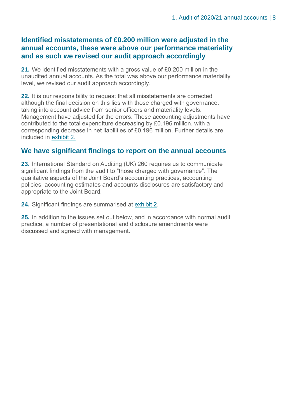#### **Identified misstatements of £0.200 million were adjusted in the annual accounts, these were above our performance materiality and as such we revised our audit approach accordingly**

**21.** We identified misstatements with a gross value of £0.200 million in the unaudited annual accounts. As the total was above our performance materiality level, we revised our audit approach accordingly.

**22.** It is our responsibility to request that all misstatements are corrected although the final decision on this lies with those charged with governance, taking into account advice from senior officers and materiality levels. Management have adjusted for the errors. These accounting adjustments have contributed to the total expenditure decreasing by £0.196 million, with a corresponding decrease in net liabilities of £0.196 million. Further details are included in [exhibit 2.](#page-8-0)

#### **We have significant findings to report on the annual accounts**

**23.** International Standard on Auditing (UK) 260 requires us to communicate significant findings from the audit to "those charged with governance". The qualitative aspects of the Joint Board's accounting practices, accounting policies, accounting estimates and accounts disclosures are satisfactory and appropriate to the Joint Board.

**24.** Significant findings are summarised at [exhibit 2.](#page-8-0)

**25.** In addition to the issues set out below, and in accordance with normal audit practice, a number of presentational and disclosure amendments were discussed and agreed with management.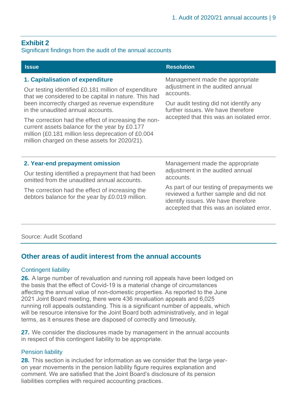#### <span id="page-8-0"></span>**Exhibit 2**

#### Significant findings from the audit of the annual accounts

| <b>Issue</b>                                                                                                                                                                                                                                                                                                                                                                                                                                             | <b>Resolution</b>                                                                                                                                                                                                                                        |
|----------------------------------------------------------------------------------------------------------------------------------------------------------------------------------------------------------------------------------------------------------------------------------------------------------------------------------------------------------------------------------------------------------------------------------------------------------|----------------------------------------------------------------------------------------------------------------------------------------------------------------------------------------------------------------------------------------------------------|
| 1. Capitalisation of expenditure<br>Our testing identified £0.181 million of expenditure<br>that we considered to be capital in nature. This had<br>been incorrectly charged as revenue expenditure<br>in the unaudited annual accounts.<br>The correction had the effect of increasing the non-<br>current assets balance for the year by £0.177<br>million (£0.181 million less deprecation of £0.004<br>million charged on these assets for 2020/21). | Management made the appropriate<br>adjustment in the audited annual<br>accounts.<br>Our audit testing did not identify any<br>further issues. We have therefore<br>accepted that this was an isolated error.                                             |
| 2. Year-end prepayment omission<br>Our testing identified a prepayment that had been<br>omitted from the unaudited annual accounts.<br>The correction had the effect of increasing the<br>debtors balance for the year by £0.019 million.                                                                                                                                                                                                                | Management made the appropriate<br>adjustment in the audited annual<br>accounts.<br>As part of our testing of prepayments we<br>reviewed a further sample and did not<br>identify issues. We have therefore<br>accepted that this was an isolated error. |

#### Source: Audit Scotland

#### **Other areas of audit interest from the annual accounts**

#### Contingent liability

**26.** A large number of revaluation and running roll appeals have been lodged on the basis that the effect of Covid-19 is a material change of circumstances affecting the annual value of non-domestic properties. As reported to the June 2021 Joint Board meeting, there were 436 revaluation appeals and 6,025 running roll appeals outstanding. This is a significant number of appeals, which will be resource intensive for the Joint Board both administratively, and in legal terms, as it ensures these are disposed of correctly and timeously.

**27.** We consider the disclosures made by management in the annual accounts in respect of this contingent liability to be appropriate.

#### Pension liability

**28.** This section is included for information as we consider that the large yearon year movements in the pension liability figure requires explanation and comment. We are satisfied that the Joint Board's disclosure of its pension liabilities complies with required accounting practices.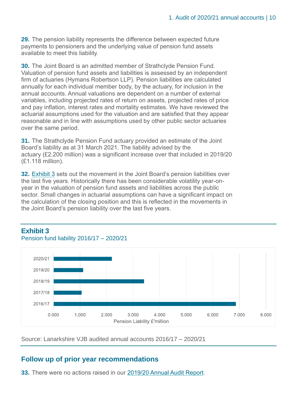**29.** The pension liability represents the difference between expected future payments to pensioners and the underlying value of pension fund assets available to meet this liability.

**30.** The Joint Board is an admitted member of Strathclyde Pension Fund. Valuation of pension fund assets and liabilities is assessed by an independent firm of actuaries (Hymans Robertson LLP). Pension liabilities are calculated annually for each individual member body, by the actuary, for inclusion in the annual accounts. Annual valuations are dependent on a number of external variables, including projected rates of return on assets, projected rates of price and pay inflation, interest rates and mortality estimates. We have reviewed the actuarial assumptions used for the valuation and are satisfied that they appear reasonable and in line with assumptions used by other public sector actuaries over the same period.

**31.** The Strathclyde Pension Fund actuary provided an estimate of the Joint Board's liability as at 31 March 2021. The liability advised by the actuary (£2.200 million) was a significant increase over that included in 2019/20 (£1.118 million).

**32.** [Exhibit 3](#page-9-0) sets out the movement in the Joint Board's pension liabilities over the last five years. Historically there has been considerable volatility year-onyear in the valuation of pension fund assets and liabilities across the public sector. Small changes in actuarial assumptions can have a significant impact on the calculation of the closing position and this is reflected in the movements in the Joint Board's pension liability over the last five years.



#### <span id="page-9-0"></span>**Exhibit 3**

Pension fund liability 2016/17 – 2020/21

Source: Lanarkshire VJB audited annual accounts 2016/17 – 2020/21

#### **Follow up of prior year recommendations**

**33.** There were no actions raised in our [2019/20 Annual Audit Report.](https://www.audit-scotland.gov.uk/report/lanarkshire-valuation-joint-board-annual-audit-plan-201920-annual-audit-201920)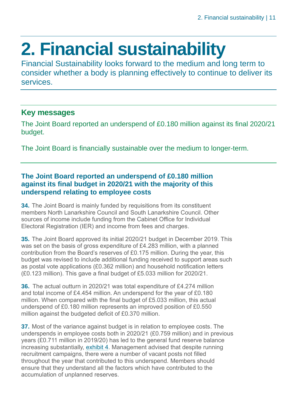### <span id="page-10-0"></span>**2. Financial sustainability**

Financial Sustainability looks forward to the medium and long term to consider whether a body is planning effectively to continue to deliver its services.

#### **Key messages**

The Joint Board reported an underspend of £0.180 million against its final 2020/21 budget.

The Joint Board is financially sustainable over the medium to longer-term.

#### **The Joint Board reported an underspend of £0.180 million against its final budget in 2020/21 with the majority of this underspend relating to employee costs**

**34.** The Joint Board is mainly funded by requisitions from its constituent members North Lanarkshire Council and South Lanarkshire Council. Other sources of income include funding from the Cabinet Office for Individual Electoral Registration (IER) and income from fees and charges.

**35.** The Joint Board approved its initial 2020/21 budget in December 2019. This was set on the basis of gross expenditure of £4.283 million, with a planned contribution from the Board's reserves of £0.175 million. During the year, this budget was revised to include additional funding received to support areas such as postal vote applications (£0.362 million) and household notification letters (£0.123 million). This gave a final budget of £5.033 million for 2020/21.

**36.** The actual outturn in 2020/21 was total expenditure of £4.274 million and total income of £4.454 million. An underspend for the year of £0.180 million. When compared with the final budget of £5.033 million, this actual underspend of £0.180 million represents an improved position of £0.550 million against the budgeted deficit of £0.370 million.

**37.** Most of the variance against budget is in relation to employee costs. The underspends in employee costs both in 2020/21 (£0.759 million) and in previous years (£0.711 million in 2019/20) has led to the general fund reserve balance increasing substantially, [exhibit 4.](#page-11-0) Management advised that despite running recruitment campaigns, there were a number of vacant posts not filled throughout the year that contributed to this underspend. Members should ensure that they understand all the factors which have contributed to the accumulation of unplanned reserves.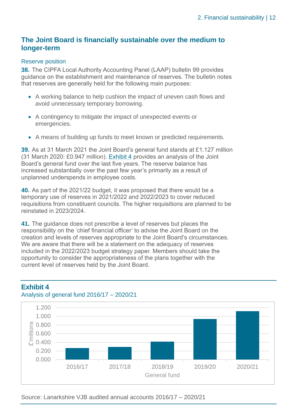#### **The Joint Board is financially sustainable over the medium to longer-term**

#### Reserve position

**38.** The CIPFA Local Authority Accounting Panel (LAAP) bulletin 99 provides guidance on the establishment and maintenance of reserves. The bulletin notes that reserves are generally held for the following main purposes:

- A working balance to help cushion the impact of uneven cash flows and avoid unnecessary temporary borrowing.
- A contingency to mitigate the impact of unexpected events or emergencies.
- A means of building up funds to meet known or predicted requirements.

**39.** As at 31 March 2021 the Joint Board's general fund stands at £1.127 million (31 March 2020: £0.947 million). [Exhibit 4](#page-11-0) provides an analysis of the Joint Board's general fund over the last five years. The reserve balance has increased substantially over the past few year's primarily as a result of unplanned underspends in employee costs.

**40.** As part of the 2021/22 budget, it was proposed that there would be a temporary use of reserves in 2021/2022 and 2022/2023 to cover reduced requisitions from constituent councils. The higher requisitions are planned to be reinstated in 2023/2024.

**41.** The guidance does not prescribe a level of reserves but places the responsibility on the 'chief financial officer' to advise the Joint Board on the creation and levels of reserves appropriate to the Joint Board's circumstances. We are aware that there will be a statement on the adequacy of reserves included in the 2022/2023 budget strategy paper. Members should take the opportunity to consider the appropriateness of the plans together with the current level of reserves held by the Joint Board.



#### <span id="page-11-0"></span>**Exhibit 4**

Analysis of general fund 2016/17 – 2020/21

Source: Lanarkshire VJB audited annual accounts 2016/17 – 2020/21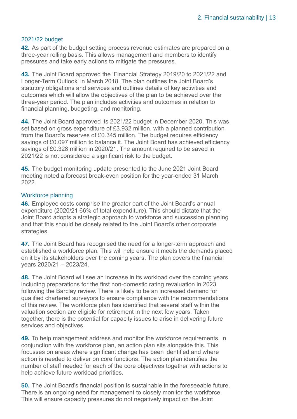#### 2021/22 budget

**42.** As part of the budget setting process revenue estimates are prepared on a three-year rolling basis. This allows management and members to identify pressures and take early actions to mitigate the pressures.

**43.** The Joint Board approved the 'Financial Strategy 2019/20 to 2021/22 and Longer-Term Outlook' in March 2018. The plan outlines the Joint Board's statutory obligations and services and outlines details of key activities and outcomes which will allow the objectives of the plan to be achieved over the three-year period. The plan includes activities and outcomes in relation to financial planning, budgeting, and monitoring.

**44.** The Joint Board approved its 2021/22 budget in December 2020. This was set based on gross expenditure of £3.932 million, with a planned contribution from the Board's reserves of £0.345 million. The budget requires efficiency savings of £0.097 million to balance it. The Joint Board has achieved efficiency savings of £0.328 million in 2020/21. The amount required to be saved in 2021/22 is not considered a significant risk to the budget.

**45.** The budget monitoring update presented to the June 2021 Joint Board meeting noted a forecast break-even position for the year-ended 31 March 2022.

#### Workforce planning

**46.** Employee costs comprise the greater part of the Joint Board's annual expenditure (2020/21 66% of total expenditure). This should dictate that the Joint Board adopts a strategic approach to workforce and succession planning and that this should be closely related to the Joint Board's other corporate strategies.

**47.** The Joint Board has recognised the need for a longer-term approach and established a workforce plan. This will help ensure it meets the demands placed on it by its stakeholders over the coming years. The plan covers the financial years 2020/21 – 2023/24.

**48.** The Joint Board will see an increase in its workload over the coming years including preparations for the first non-domestic rating revaluation in 2023 following the Barclay review. There is likely to be an increased demand for qualified chartered surveyors to ensure compliance with the recommendations of this review. The workforce plan has identified that several staff within the valuation section are eligible for retirement in the next few years. Taken together, there is the potential for capacity issues to arise in delivering future services and objectives.

**49.** To help management address and monitor the workforce requirements, in conjunction with the workforce plan, an action plan sits alongside this. This focusses on areas where significant change has been identified and where action is needed to deliver on core functions. The action plan identifies the number of staff needed for each of the core objectives together with actions to help achieve future workload priorities.

**50.** The Joint Board's financial position is sustainable in the foreseeable future. There is an ongoing need for management to closely monitor the workforce. This will ensure capacity pressures do not negatively impact on the Joint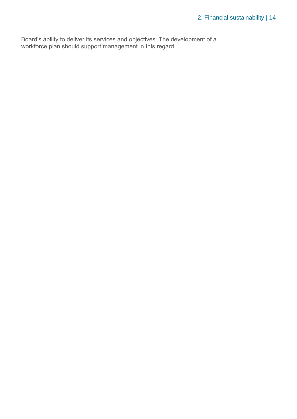Board's ability to deliver its services and objectives. The development of a workforce plan should support management in this regard.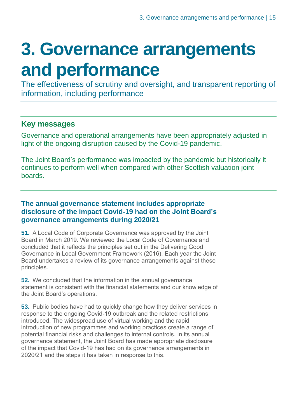### <span id="page-14-0"></span>**3. Governance arrangements and performance**

The effectiveness of scrutiny and oversight, and transparent reporting of information, including performance

#### **Key messages**

Governance and operational arrangements have been appropriately adjusted in light of the ongoing disruption caused by the Covid-19 pandemic.

The Joint Board's performance was impacted by the pandemic but historically it continues to perform well when compared with other Scottish valuation joint boards.

#### **The annual governance statement includes appropriate disclosure of the impact Covid-19 had on the Joint Board's governance arrangements during 2020/21**

**51.** A Local Code of Corporate Governance was approved by the Joint Board in March 2019. We reviewed the Local Code of Governance and concluded that it reflects the principles set out in the Delivering Good Governance in Local Government Framework (2016). Each year the Joint Board undertakes a review of its governance arrangements against these principles.

**52.** We concluded that the information in the annual governance statement is consistent with the financial statements and our knowledge of the Joint Board's operations.

**53.** Public bodies have had to quickly change how they deliver services in response to the ongoing Covid-19 outbreak and the related restrictions introduced. The widespread use of virtual working and the rapid introduction of new programmes and working practices create a range of potential financial risks and challenges to internal controls. In its annual governance statement, the Joint Board has made appropriate disclosure of the impact that Covid-19 has had on its governance arrangements in 2020/21 and the steps it has taken in response to this.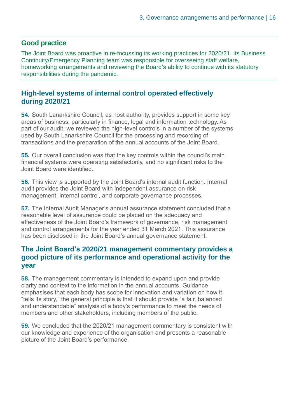#### **Good practice**

The Joint Board was proactive in re-focussing its working practices for 2020/21. Its Business Continuity/Emergency Planning team was responsible for overseeing staff welfare, homeworking arrangements and reviewing the Board's ability to continue with its statutory responsibilities during the pandemic.

#### **High-level systems of internal control operated effectively during 2020/21**

**54.** South Lanarkshire Council, as host authority, provides support in some key areas of business, particularly in finance, legal and information technology. As part of our audit, we reviewed the high-level controls in a number of the systems used by South Lanarkshire Council for the processing and recording of transactions and the preparation of the annual accounts of the Joint Board.

**55.** Our overall conclusion was that the key controls within the council's main financial systems were operating satisfactorily, and no significant risks to the Joint Board were identified.

**56.** This view is supported by the Joint Board's internal audit function. Internal audit provides the Joint Board with independent assurance on risk management, internal control, and corporate governance processes.

**57.** The Internal Audit Manager's annual assurance statement concluded that a reasonable level of assurance could be placed on the adequacy and effectiveness of the Joint Board's framework of governance, risk management and control arrangements for the year ended 31 March 2021. This assurance has been disclosed in the Joint Board's annual governance statement.

#### **The Joint Board's 2020/21 management commentary provides a good picture of its performance and operational activity for the year**

**58.** The management commentary is intended to expand upon and provide clarity and context to the information in the annual accounts. Guidance emphasises that each body has scope for innovation and variation on how it "tells its story," the general principle is that it should provide "a fair, balanced and understandable" analysis of a body's performance to meet the needs of members and other stakeholders, including members of the public.

**59.** We concluded that the 2020/21 management commentary is consistent with our knowledge and experience of the organisation and presents a reasonable picture of the Joint Board's performance.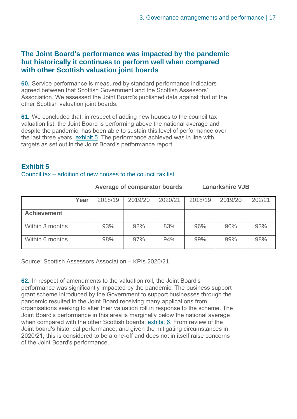#### <span id="page-16-1"></span>**The Joint Board's performance was impacted by the pandemic but historically it continues to perform well when compared with other Scottish valuation joint boards**

**60.** Service performance is measured by standard performance indicators agreed between that Scottish Government and the Scottish Assessors' Association. We assessed the Joint Board's published data against that of the other Scottish valuation joint boards.

**61.** We concluded that, in respect of adding new houses to the council tax valuation list, the Joint Board is performing above the national average and despite the pandemic, has been able to sustain this level of performance over the last three years, [exhibit 5.](#page-16-0) The performance achieved was in line with targets as set out in the Joint Board's performance report.

#### <span id="page-16-0"></span>**Exhibit 5**

#### Council tax – addition of new houses to the council tax list

**Lanarkshire VJB** 

|                    | Year | 2018/19 | 2019/20 | 2020/21 | 2018/19 | 2019/20 | 202/21 |
|--------------------|------|---------|---------|---------|---------|---------|--------|
| <b>Achievement</b> |      |         |         |         |         |         |        |
| Within 3 months    |      | 93%     | 92%     | 83%     | 96%     | 96%     | 93%    |
| Within 6 months    |      | 98%     | 97%     | 94%     | 99%     | 99%     | 98%    |

Source: Scottish Assessors Association – KPIs 2020/21

**62.** In respect of amendments to the valuation roll, the Joint Board's performance was significantly impacted by the pandemic. The business support grant scheme introduced by the Government to support businesses through the pandemic resulted in the Joint Board receiving many applications from organisations seeking to alter their valuation roll in response to the scheme. The Joint Board's performance in this area is marginally below the national average when compared with the other Scottish boards, [exhibit 6.](#page-17-0) From review of the Joint board's historical performance, and given the mitigating circumstances in 2020/21, this is considered to be a one-off and does not in itself raise concerns of the Joint Board's performance.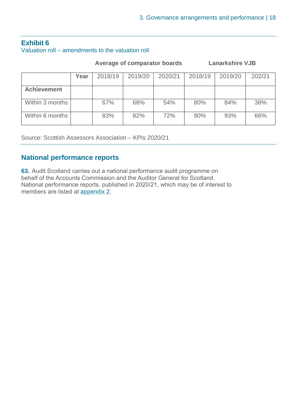#### <span id="page-17-0"></span>**Exhibit 6** Valuation roll – amendments to the valuation roll

 **Average of comparator boards Lanarkshire VJB**

|                    | Year | 2018/19 | 2019/20 | 2020/21 | 2018/19 | 2019/20 | 202/21 |
|--------------------|------|---------|---------|---------|---------|---------|--------|
| <b>Achievement</b> |      |         |         |         |         |         |        |
| Within 3 months    |      | 67%     | 68%     | 54%     | 80%     | 84%     | 38%    |
| Within 6 months    |      | 83%     | 82%     | 72%     | 90%     | 93%     | 66%    |

Source: Scottish Assessors Association – KPIs 2020/21

#### **National performance reports**

**63.** Audit Scotland carries out a national performance audit programme on behalf of the Accounts Commission and the Auditor General for Scotland. National performance reports, published in 2020/21, which may be of interest to members are listed at [appendix 2.](#page-22-0)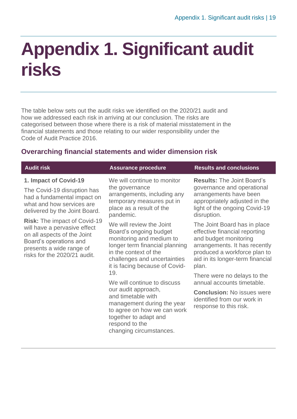### <span id="page-18-0"></span>**Appendix 1. Significant audit risks**

The table below sets out the audit risks we identified on the 2020/21 audit and how we addressed each risk in arriving at our conclusion. The risks are categorised between those where there is a risk of material misstatement in the financial statements and those relating to our wider responsibility under the Code of Audit Practice 2016.

#### **Overarching financial statements and wider dimension risk**

| <b>Audit risk</b>                                                                                                                                                                        | <b>Assurance procedure</b>                                                                                                                                                                                                                                                                                                                                                                                                        | <b>Results and conclusions</b>                                                                                                                                                                       |
|------------------------------------------------------------------------------------------------------------------------------------------------------------------------------------------|-----------------------------------------------------------------------------------------------------------------------------------------------------------------------------------------------------------------------------------------------------------------------------------------------------------------------------------------------------------------------------------------------------------------------------------|------------------------------------------------------------------------------------------------------------------------------------------------------------------------------------------------------|
| 1. Impact of Covid-19<br>The Covid-19 disruption has<br>had a fundamental impact on<br>what and how services are<br>delivered by the Joint Board.                                        | We will continue to monitor<br>the governance<br>arrangements, including any<br>temporary measures put in<br>place as a result of the<br>pandemic.                                                                                                                                                                                                                                                                                | <b>Results: The Joint Board's</b><br>governance and operational<br>arrangements have been<br>appropriately adjusted in the<br>light of the ongoing Covid-19<br>disruption.                           |
| <b>Risk:</b> The impact of Covid-19<br>will have a pervasive effect<br>on all aspects of the Joint<br>Board's operations and<br>presents a wide range of<br>risks for the 2020/21 audit. | We will review the Joint<br>Board's ongoing budget<br>monitoring and medium to<br>longer term financial planning<br>in the context of the<br>challenges and uncertainties<br>it is facing because of Covid-<br>19.<br>We will continue to discuss<br>our audit approach,<br>and timetable with<br>management during the year<br>to agree on how we can work<br>together to adapt and<br>respond to the<br>changing circumstances. | The Joint Board has in place<br>effective financial reporting<br>and budget monitoring<br>arrangements. It has recently<br>produced a workforce plan to<br>aid in its longer-term financial<br>plan. |
|                                                                                                                                                                                          |                                                                                                                                                                                                                                                                                                                                                                                                                                   | There were no delays to the<br>annual accounts timetable.                                                                                                                                            |
|                                                                                                                                                                                          |                                                                                                                                                                                                                                                                                                                                                                                                                                   | <b>Conclusion: No issues were</b><br>identified from our work in<br>response to this risk.                                                                                                           |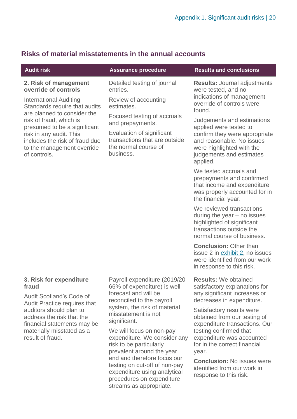| <b>Audit risk</b>                                                                                                                                                                                                                  | <b>Assurance procedure</b>                                                                                                                                       | <b>Results and conclusions</b>                                                                                                                                                        |
|------------------------------------------------------------------------------------------------------------------------------------------------------------------------------------------------------------------------------------|------------------------------------------------------------------------------------------------------------------------------------------------------------------|---------------------------------------------------------------------------------------------------------------------------------------------------------------------------------------|
| 2. Risk of management<br>override of controls<br><b>International Auditing</b>                                                                                                                                                     | Detailed testing of journal<br>entries.<br>Review of accounting                                                                                                  | <b>Results: Journal adjustments</b><br>were tested, and no<br>indications of management<br>override of controls were                                                                  |
| Standards require that audits<br>are planned to consider the<br>risk of fraud, which is<br>presumed to be a significant<br>risk in any audit. This<br>includes the risk of fraud due<br>to the management override<br>of controls. | estimates.<br>Focused testing of accruals<br>and prepayments.<br>Evaluation of significant<br>transactions that are outside<br>the normal course of<br>business. | found.<br>Judgements and estimations<br>applied were tested to<br>confirm they were appropriate<br>and reasonable. No issues<br>were highlighted with the<br>judgements and estimates |
|                                                                                                                                                                                                                                    |                                                                                                                                                                  | applied.<br>We tested accruals and<br>prepayments and confirmed<br>that income and expenditure<br>was properly accounted for in<br>the financial year.                                |
|                                                                                                                                                                                                                                    |                                                                                                                                                                  | We reviewed transactions<br>during the year $-$ no issues<br>highlighted of significant<br>transactions outside the<br>normal course of business.                                     |
|                                                                                                                                                                                                                                    |                                                                                                                                                                  | <b>Conclusion: Other than</b><br>issue 2 in exhibit 2, no issues<br>were identified from our work<br>in response to this risk.                                                        |
| 3. Risk for expenditure<br>fraud                                                                                                                                                                                                   | Payroll expenditure (2019/20<br>66% of expenditure) is well                                                                                                      | <b>Results: We obtained</b><br>satisfactory explanations for                                                                                                                          |
| Audit Scotland's Code of<br><b>Audit Practice requires that</b><br>quditore chould plan to                                                                                                                                         | forecast and will be<br>reconciled to the payroll<br>system, the risk of material                                                                                | any significant increases or<br>decreases in expenditure.<br>Catiofactory roculto word                                                                                                |

#### **Risks of material misstatements in the annual accounts**

auditors should plan to address the risk that the financial statements may be materially misstated as a result of fraud.

misstatement is not significant.

We will focus on non-pay expenditure. We consider any risk to be particularly prevalent around the year end and therefore focus our testing on cut-off of non-pay expenditure using analytical procedures on expenditure streams as appropriate.

Satisfactory results were obtained from our testing of expenditure transactions. Our testing confirmed that expenditure was accounted for in the correct financial year.

**Conclusion:** No issues were identified from our work in response to this risk.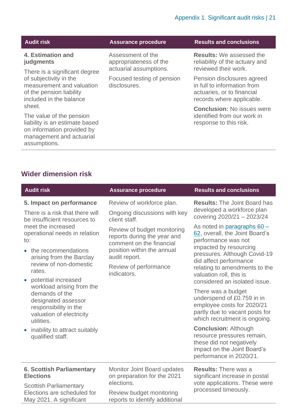| udit risk | ASSI |
|-----------|------|

#### **4. Estimation and judgments**

There is a significant degree of subjectivity in the measurement and valuation of the pension liability included in the balance sheet.

The value of the pension liability is an estimate based on information provided by management and actuarial assumptions.

Assessment of the appropriateness of the actuarial assumptions.

Focused testing of pension disclosures.

#### **Audit risk Assurance procedure Results and conclusions**

**Results:** We assessed the reliability of the actuary and reviewed their work.

Pension disclosures agreed in full to information from actuaries, or to financial records where applicable.

**Conclusion:** No issues were identified from our work in response to this risk.

#### **Wider dimension risk**

| <b>Audit risk</b>                                                                                                                                                                                                                                                                                                                                                                                                               | <b>Assurance procedure</b>                                                                                                                                                                                                                                  | <b>Results and conclusions</b>                                                                                                                                                                                                                                                                                                                                                                                                                                                                                                  |
|---------------------------------------------------------------------------------------------------------------------------------------------------------------------------------------------------------------------------------------------------------------------------------------------------------------------------------------------------------------------------------------------------------------------------------|-------------------------------------------------------------------------------------------------------------------------------------------------------------------------------------------------------------------------------------------------------------|---------------------------------------------------------------------------------------------------------------------------------------------------------------------------------------------------------------------------------------------------------------------------------------------------------------------------------------------------------------------------------------------------------------------------------------------------------------------------------------------------------------------------------|
| 5. Impact on performance<br>There is a risk that there will<br>be insufficient resources to<br>meet the increased<br>operational needs in relation<br>to:<br>• the recommendations<br>arising from the Barclay<br>review of non-domestic<br>rates.<br>potential increased<br>$\bullet$<br>workload arising from the<br>demands of the<br>designated assessor<br>responsibility in the<br>valuation of electricity<br>utilities. | Review of workforce plan.<br>Ongoing discussions with key<br>client staff.<br>Review of budget monitoring<br>reports during the year and<br>comment on the financial<br>position within the annual<br>audit report.<br>Review of performance<br>indicators. | <b>Results: The Joint Board has</b><br>developed a workforce plan<br>covering 2020/21 - 2023/24<br>As noted in paragraphs $60 -$<br>62, overall, the Joint Board's<br>performance was not<br>impacted by resourcing<br>pressures. Although Covid-19<br>did affect performance<br>relating to amendments to the<br>valuation roll, this is<br>considered an isolated issue.<br>There was a budget<br>underspend of £0.759 in in<br>employee costs for 2020/21<br>partly due to vacant posts for<br>which recruitment is ongoing. |
| inability to attract suitably<br>qualified staff.                                                                                                                                                                                                                                                                                                                                                                               |                                                                                                                                                                                                                                                             | <b>Conclusion: Although</b><br>resource pressures remain,<br>these did not negatively<br>impact on the Joint Board's<br>performance in 2020/21.                                                                                                                                                                                                                                                                                                                                                                                 |
| <b>6. Scottish Parliamentary</b><br><b>Elections</b><br><b>Scottish Parliamentary</b>                                                                                                                                                                                                                                                                                                                                           | <b>Monitor Joint Board updates</b><br>on preparation for the 2021<br>elections.                                                                                                                                                                             | <b>Results: There was a</b><br>significant increase in postal<br>vote applications. These were                                                                                                                                                                                                                                                                                                                                                                                                                                  |
| Elections are scheduled for<br>May 2021. A significant                                                                                                                                                                                                                                                                                                                                                                          | Review budget monitoring<br>reports to identify additional                                                                                                                                                                                                  | processed timeously.                                                                                                                                                                                                                                                                                                                                                                                                                                                                                                            |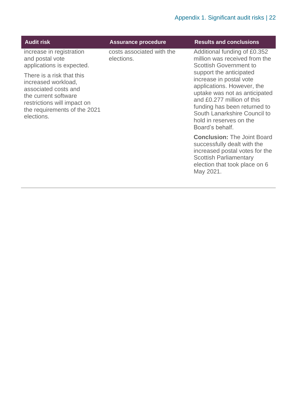| <b>Audit risk</b>                                                                                                                                                             | <b>Assurance procedure</b>              | <b>Results and conclusions</b>                                                                                                                                                                                                                                |
|-------------------------------------------------------------------------------------------------------------------------------------------------------------------------------|-----------------------------------------|---------------------------------------------------------------------------------------------------------------------------------------------------------------------------------------------------------------------------------------------------------------|
| increase in registration<br>and postal vote<br>applications is expected.                                                                                                      | costs associated with the<br>elections. | Additional funding of £0.352<br>million was received from the<br><b>Scottish Government to</b>                                                                                                                                                                |
| There is a risk that this<br>increased workload,<br>associated costs and<br>the current software<br>restrictions will impact on<br>the requirements of the 2021<br>elections. |                                         | support the anticipated<br>increase in postal vote<br>applications. However, the<br>uptake was not as anticipated<br>and £0.277 million of this<br>funding has been returned to<br>South Lanarkshire Council to<br>hold in reserves on the<br>Board's behalf. |
|                                                                                                                                                                               |                                         | <b>Conclusion: The Joint Board</b><br>successfully dealt with the<br>increased postal votes for the<br><b>Scottish Parliamentary</b><br>election that took place on 6<br>May 2021.                                                                            |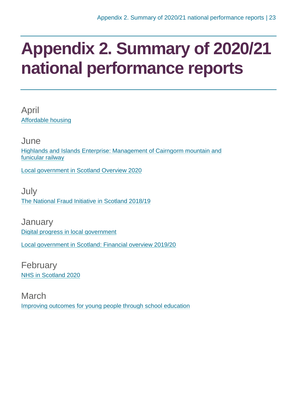### <span id="page-22-0"></span>**Appendix 2. Summary of 2020/21 national performance reports**

April [Affordable housing](https://www.audit-scotland.gov.uk/report/affordable-housing)

June [Highlands and Islands Enterprise: Management of Cairngorm mountain and](https://www.audit-scotland.gov.uk/report/highlands-and-islands-enterprise-management-of-cairngorm-mountain-and-funicular-railway)  [funicular railway](https://www.audit-scotland.gov.uk/report/highlands-and-islands-enterprise-management-of-cairngorm-mountain-and-funicular-railway)

[Local government in Scotland Overview 2020](https://www.audit-scotland.gov.uk/report/local-government-in-scotland-overview-2020)

July [The National Fraud Initiative in Scotland 2018/19](https://www.audit-scotland.gov.uk/report/the-national-fraud-initiative-in-scotland-201819)

**January** [Digital progress in local government](https://www.audit-scotland.gov.uk/report/digital-progress-in-local-government) [Local government in Scotland: Financial overview 2019/20](https://www.audit-scotland.gov.uk/report/local-government-in-scotland-financial-overview-201920)

February [NHS in Scotland 2020](https://www.audit-scotland.gov.uk/report/nhs-in-scotland-2020)

March [Improving outcomes for young people through school education](https://www.audit-scotland.gov.uk/report/improving-outcomes-for-young-people-through-school-education)